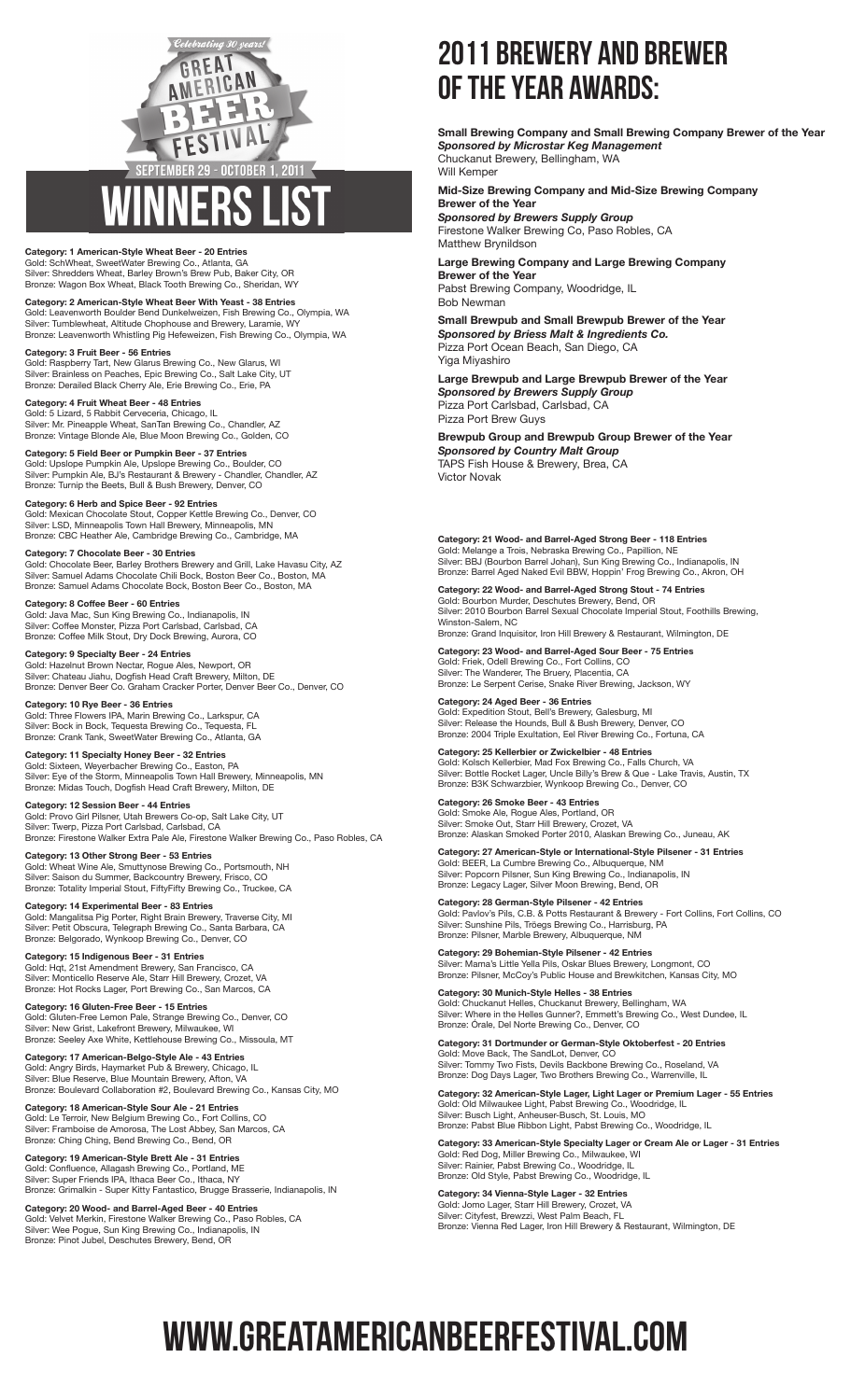### GREAT CAN B FESTIVAL **SEPTEMBER 29**  $-$  October 1, 2011

#### **Category: 1 American-Style Wheat Beer - 20 Entries** Gold: SchWheat, SweetWater Brewing Co., Atlanta, GA Silver: Shredders Wheat, Barley Brown's Brew Pub, Baker City, OR Bronze: Wagon Box Wheat, Black Tooth Brewing Co., Sheridan, WY

**Category: 2 American-Style Wheat Beer With Yeast - 38 Entries** Gold: Leavenworth Boulder Bend Dunkelweizen, Fish Brewing Co., Olympia, WA Silver: Tumblewheat, Altitude Chophouse and Brewery, Laramie, WY Bronze: Leavenworth Whistling Pig Hefeweizen, Fish Brewing Co., Olympia, WA

**Category: 3 Fruit Beer - 56 Entries** Gold: Raspberry Tart, New Glarus Brewing Co., New Glarus, WI Silver: Brainless on Peaches, Epic Brewing Co., Salt Lake City, UT Bronze: Derailed Black Cherry Ale, Erie Brewing Co., Erie, PA

**Category: 4 Fruit Wheat Beer - 48 Entries** Gold: 5 Lizard, 5 Rabbit Cerveceria, Chicago, IL Silver: Mr. Pineapple Wheat, SanTan Brewing Co., Chandler, AZ Bronze: Vintage Blonde Ale, Blue Moon Brewing Co., Golden, CO

**Category: 5 Field Beer or Pumpkin Beer - 37 Entries** Gold: Upslope Pumpkin Ale, Upslope Brewing Co., Boulder, CO Silver: Pumpkin Ale, BJ's Restaurant & Brewery - Chandler, Chandler, AZ Bronze: Turnip the Beets, Bull & Bush Brewery, Denver, CO

**Category: 6 Herb and Spice Beer - 92 Entries**<br>Gold: Mexican Chocolate Stout, Copper Kettle Brewing Co., Denver, CO<br>Silver: LSD, Minneapolis Town Hall Brewery, Minneapolis, MN<br>Bronze: CBC Heather Ale, Cambridge Brewing Co.

**Category: 7 Chocolate Beer - 30 Entries** Gold: Chocolate Beer, Barley Brothers Brewery and Grill, Lake Havasu City, AZ Silver: Samuel Adams Chocolate Chili Bock, Boston Beer Co., Boston, MA Bronze: Samuel Adams Chocolate Bock, Boston Beer Co., Boston, MA

**Category: 8 Coffee Beer - 60 Entries** Gold: Java Mac, Sun King Brewing Co., Indianapolis, IN Silver: Coffee Monster, Pizza Port Carlsbad, Carlsbad, CA Bronze: Coffee Milk Stout, Dry Dock Brewing, Aurora, CO

**Category: 9 Specialty Beer - 24 Entries** Gold: Hazelnut Brown Nectar, Rogue Ales, Newport, OR<br>Silver: Chateau Jiahu, Dogfish Head Craft Brewery, Milton, DE Bronze: Denver Beer Co. Graham Cracker Porter, Denver Beer Co., Denver, CO

**Category: 10 Rye Beer - 36 Entries** Gold: Three Flowers IPA, Marin Brewing Co., Larkspur, CA Silver: Bock in Bock, Tequesta Brewing Co., Tequesta, FL Bronze: Crank Tank, SweetWater Brewing Co., Atlanta, GA

**Category: 11 Specialty Honey Beer - 32 Entries** Gold: Sixteen, Weyerbacher Brewing Co., Easton, PA<br>Silver: Eye of the Storm, Minneapolis Town Hall Brewery, Minneapolis, MN<br>Bronze: Midas Touch, Dogfish Head Craft Brewery, Milton, DE

**Category: 12 Session Beer - 44 Entries** Gold: Provo Girl Pilsner, Utah Brewers Co-op, Salt Lake City, UT Silver: Twerp, Pizza Port Carlsbad, Carlsbad, CA Bronze: Firestone Walker Extra Pale Ale, Firestone Walker Brewing Co., Paso Robles, CA

**Category: 13 Other Strong Beer - 53 Entries** Gold: Wheat Wine Ale, Smuttynose Brewing Co., Portsmouth, NH Silver: Saison du Summer, Backcountry Brewery, Frisco, CO Bronze: Totality Imperial Stout, FiftyFifty Brewing Co., Truckee, CA

**Category: 14 Experimental Beer - 83 Entries** Gold: Mangalitsa Pig Porter, Right Brain Brewery, Traverse City, MI Silver: Petit Obscura, Telegraph Brewing Co., Santa Barbara, CA Bronze: Belgorado, Wynkoop Brewing Co., Denver, CO

**Category: 15 Indigenous Beer - 31 Entries** Gold: Hqt, 21st Amendment Brewery, San Francisco, CA Silver: Monticello Reserve Ale, Starr Hill Brewery, Crozet, VA Bronze: Hot Rocks Lager, Port Brewing Co., San Marcos, CA

**Category: 16 Gluten-Free Beer - 15 Entries** Gold: Gluten-Free Lemon Pale, Strange Brewing Co., Denver, CO Silver: New Grist, Lakefront Brewery, Milwaukee, WI Bronze: Seeley Axe White, Kettlehouse Brewing Co., Missoula, MT

**Category: 17 American-Belgo-Style Ale - 43 Entries** Gold: Angry Birds, Haymarket Pub & Brewery, Chicago, IL Silver: Blue Reserve, Blue Mountain Brewery, Afton, VA Bronze: Boulevard Collaboration #2, Boulevard Brewing Co., Kansas City, MO

**Category: 18 American-Style Sour Ale - 21 Entries** Gold: Le Terroir, New Belgium Brewing Co., Fort Collins, CO Silver: Framboise de Amorosa, The Lost Abbey, San Marcos, CA Bronze: Ching Ching, Bend Brewing Co., Bend, OR

**Category: 19 American-Style Brett Ale - 31 Entries** Gold: Confluence, Allagash Brewing Co., Portland, ME Silver: Super Friends IPA, Ithaca Beer Co., Ithaca, NY Bronze: Grimalkin - Super Kitty Fantastico, Brugge Brasserie, Indianapolis, IN

**Category: 20 Wood- and Barrel-Aged Beer - 40 Entries** Gold: Velvet Merkin, Firestone Walker Brewing Co., Paso Robles, CA Silver: Wee Pogue, Sun King Brewing Co., Indianapolis, IN Bronze: Pinot Jubel, Deschutes Brewery, Bend, OR

## 2011 Brewery and Brewer of the Year Awards:

**Small Brewing Company and Small Brewing Company Brewer of the Year** *Sponsored by Microstar Keg Management* Chuckanut Brewery, Bellingham, WA

Will Kemper

**Mid-Size Brewing Company and Mid-Size Brewing Company Brewer of the Year** *Sponsored by Brewers Supply Group*

Firestone Walker Brewing Co, Paso Robles, CA Matthew Brynildson

**Large Brewing Company and Large Brewing Company Brewer of the Year** Pabst Brewing Company, Woodridge, IL Bob Newman

**Small Brewpub and Small Brewpub Brewer of the Year** *Sponsored by Briess Malt & Ingredients Co.* Pizza Port Ocean Beach, San Diego, CA Yiga Miyashiro

**Large Brewpub and Large Brewpub Brewer of the Year** *Sponsored by Brewers Supply Group* Pizza Port Carlsbad, Carlsbad, CA Pizza Port Brew Guys

**Brewpub Group and Brewpub Group Brewer of the Year** *Sponsored by Country Malt Group* TAPS Fish House & Brewery, Brea, CA Victor Novak

**Category: 21 Wood- and Barrel-Aged Strong Beer - 118 Entries**<br>Gold: Melange a Trois, Nebraska Brewing Co., Papillion, NE<br>Silver: BBJ (Bourbon Barrel Johan), Sun King Brewing Co., Indianapolis, IN Bronze: Barrel Aged Naked Evil BBW, Hoppin' Frog Brewing Co., Akron, OH

**Category: 22 Wood- and Barrel-Aged Strong Stout - 74 Entries**<br>Gold: Bourbon Murder, Deschutes Brewery, Bend, OR<br>Silver: 2010 Bourbon Barrel Sexual Chocolate Imperial Stout, Foothills Brewing, Winston-Salem, NC Bronze: Grand Inquisitor, Iron Hill Brewery & Restaurant, Wilmington, DE

**Category: 23 Wood- and Barrel-Aged Sour Beer - 75 Entries** Gold: Friek, Odell Brewing Co., Fort Collins, CO Silver: The Wanderer, The Bruery, Placentia, CA Bronze: Le Serpent Cerise, Snake River Brewing, Jackson, WY

**Category: 24 Aged Beer - 36 Entries** Gold: Expedition Stout, Bell's Brewery, Galesburg, MI Silver: Release the Hounds, Bull & Bush Brewery, Denver, CO Bronze: 2004 Triple Exultation, Eel River Brewing Co., Fortuna, CA

**Category: 25 Kellerbier or Zwickelbier - 48 Entries** Gold: Kolsch Kellerbier, Mad Fox Brewing Co., Falls Church, VA Silver: Bottle Rocket Lager, Uncle Billy's Brew & Que - Lake Travis, Austin, TX Bronze: B3K Schwarzbier, Wynkoop Brewing Co., Denver, CO

**Category: 26 Smoke Beer - 43 Entries** Gold: Smoke Ale, Rogue Ales, Portland, OR Silver: Smoke Out, Starr Hill Brewery, Crozet, VA Bronze: Alaskan Smoked Porter 2010, Alaskan Brewing Co., Juneau, AK

**Category: 27 American-Style or International-Style Pilsener - 31 Entries**<br>Gold: BEER, La Cumbre Brewing Co., Albuquerque, NM<br>Silver: Popcorn Pilsner, Sun King Brewing Co., Indianapolis, IN Bronze: Legacy Lager, Silver Moon Brewing, Bend, OR

**Category: 28 German-Style Pilsener - 42 Entries** Gold: Pavlov's Pils, C.B. & Potts Restaurant & Brewery - Fort Collins, Fort Collins, CO Silver: Sunshine Pils, Tröegs Brewing Co., Harrisburg, PA Bronze: Pilsner, Marble Brewery, Albuquerque, NM

**Category: 29 Bohemian-Style Pilsener - 42 Entries** Silver: Mama's Little Yella Pils, Oskar Blues Brewery, Longmont, CO Bronze: Pilsner, McCoy's Public House and Brewkitchen, Kansas City, MO

**Category: 30 Munich-Style Helles - 38 Entries** Gold: Chuckanut Helles, Chuckanut Brewery, Bellingham, WA Silver: Where in the Helles Gunner?, Emmett's Brewing Co., West Dundee, IL Bronze: Órale, Del Norte Brewing Co., Denver, CO

**Category: 31 Dortmunder or German-Style Oktoberfest - 20 Entries** Gold: Move Back, The SandLot, Denver, CO Silver: Tommy Two Fists, Devils Backbone Brewing Co., Roseland, VA Bronze: Dog Days Lager, Two Brothers Brewing Co., Warrenville, IL

**Category: 32 American-Style Lager, Light Lager or Premium Lager - 55 Entries** Gold: Old Milwaukee Light, Pabst Brewing Co., Woodridge, IL Silver: Busch Light, Anheuser-Busch, St. Louis, MO Bronze: Pabst Blue Ribbon Light, Pabst Brewing Co., Woodridge, IL

**Category: 33 American-Style Specialty Lager or Cream Ale or Lager - 31 Entries** Gold: Red Dog, Miller Brewing Co., Milwaukee, WI Silver: Rainier, Pabst Brewing Co., Woodridge, IL Bronze: Old Style, Pabst Brewing Co., Woodridge, IL

**Category: 34 Vienna-Style Lager - 32 Entries** Gold: Jomo Lager, Starr Hill Brewery, Crozet, VA Silver: Cityfest, Brewzzi, West Palm Beach, FL Bronze: Vienna Red Lager, Iron Hill Brewery & Restaurant, Wilmington, DE

# www.GreatAmericanBeerFestival.com